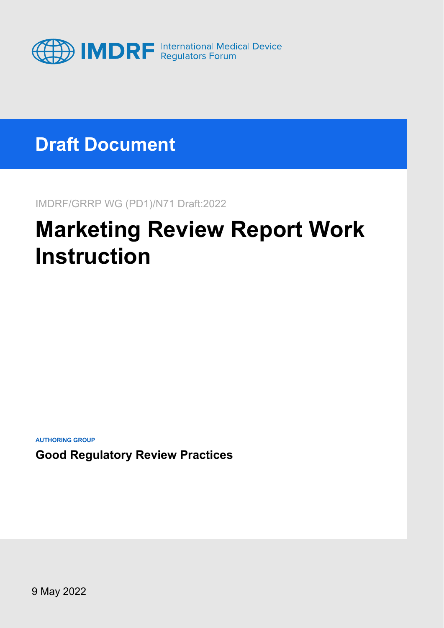

### **Draft Document**

IMDRF/GRRP WG (PD1)/N71 Draft:2022

# **Marketing Review Report Work Instruction**

**AUTHORING GROUP**

**Good Regulatory Review Practices**

9 May 2022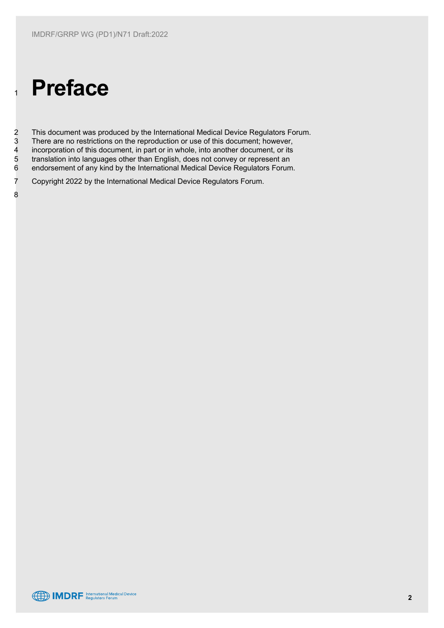# <sup>1</sup> **Preface**

2 This document was produced by the International Medical Device Regulators Forum.<br>3 There are no restrictions on the reproduction or use of this document; however, 3 There are no restrictions on the reproduction or use of this document; however,<br>4 incorporation of this document, in part or in whole, into another document, or its 4 incorporation of this document, in part or in whole, into another document, or its<br>5 translation into languages other than English, does not convey or represent an 5 translation into languages other than English, does not convey or represent an<br>6 endorsement of any kind by the International Medical Device Regulators Forum endorsement of any kind by the International Medical Device Regulators Forum.

7 Copyright 2022 by the International Medical Device Regulators Forum.

8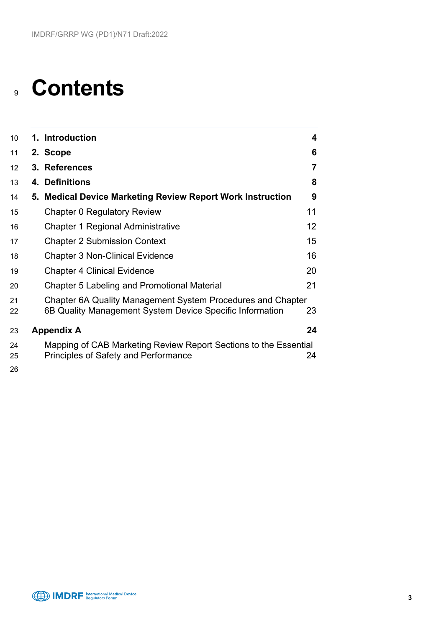## **Contents**

| 10 <sup>°</sup> | 1. Introduction                                                                                                         | $\overline{\mathbf{4}}$ |
|-----------------|-------------------------------------------------------------------------------------------------------------------------|-------------------------|
| 11              | 2. Scope                                                                                                                | 6                       |
| 12 <sup>2</sup> | 3. References                                                                                                           | $\overline{7}$          |
| 13              | 4. Definitions                                                                                                          | 8                       |
| 14              | 5. Medical Device Marketing Review Report Work Instruction                                                              | 9                       |
| 15              | Chapter 0 Regulatory Review                                                                                             | 11                      |
| 16              | Chapter 1 Regional Administrative                                                                                       | 12 <sup>2</sup>         |
| 17              | <b>Chapter 2 Submission Context</b>                                                                                     | 15                      |
| 18              | <b>Chapter 3 Non-Clinical Evidence</b>                                                                                  | 16                      |
| 19              | <b>Chapter 4 Clinical Evidence</b>                                                                                      | 20                      |
| 20              | Chapter 5 Labeling and Promotional Material                                                                             | 21                      |
| 21<br>22        | Chapter 6A Quality Management System Procedures and Chapter<br>6B Quality Management System Device Specific Information | 23                      |
| 23              | <b>Appendix A</b>                                                                                                       | 24                      |
| 24<br>25<br>າຂ  | Mapping of CAB Marketing Review Report Sections to the Essential<br><b>Principles of Safety and Performance</b>         | 24                      |



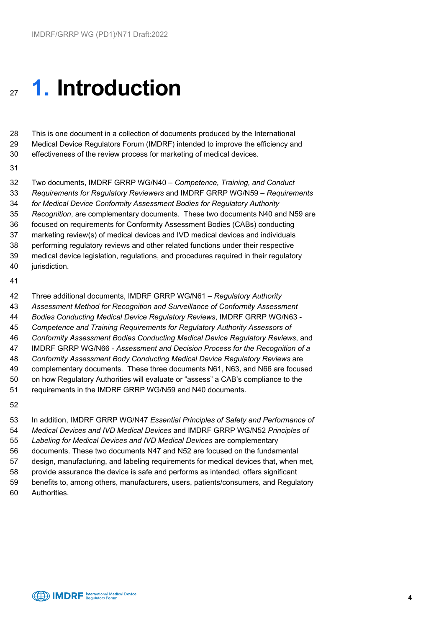# <span id="page-3-0"></span>**1. Introduction**

 This is one document in a collection of documents produced by the International Medical Device Regulators Forum (IMDRF) intended to improve the efficiency and effectiveness of the review process for marketing of medical devices.

 Two documents, IMDRF GRRP WG/N40 – *Competence, Training, and Conduct Requirements for Regulatory Reviewers* and IMDRF GRRP WG/N59 – *Requirements for Medical Device Conformity Assessment Bodies for Regulatory Authority Recognition*, are complementary documents. These two documents N40 and N59 are focused on requirements for Conformity Assessment Bodies (CABs) conducting marketing review(s) of medical devices and IVD medical devices and individuals performing regulatory reviews and other related functions under their respective medical device legislation, regulations, and procedures required in their regulatory **jurisdiction**.

 Three additional documents, IMDRF GRRP WG/N61 – *Regulatory Authority Assessment Method for Recognition and Surveillance of Conformity Assessment Bodies Conducting Medical Device Regulatory Reviews*, IMDRF GRRP WG/N63 - *Competence and Training Requirements for Regulatory Authority Assessors of Conformity Assessment Bodies Conducting Medical Device Regulatory Reviews*, and IMDRF GRRP WG/N66 *- Assessment and Decision Process for the Recognition of a Conformity Assessment Body Conducting Medical Device Regulatory Reviews* are complementary documents. These three documents N61, N63, and N66 are focused on how Regulatory Authorities will evaluate or "assess" a CAB's compliance to the requirements in the IMDRF GRRP WG/N59 and N40 documents.

 In addition, IMDRF GRRP WG/N47 *Essential Principles of Safety and Performance of Medical Devices and IVD Medical Devices* and IMDRF GRRP WG/N52 *Principles of Labeling for Medical Devices and IVD Medical Devices* are complementary documents. These two documents N47 and N52 are focused on the fundamental design, manufacturing, and labeling requirements for medical devices that, when met, provide assurance the device is safe and performs as intended, offers significant benefits to, among others, manufacturers, users, patients/consumers, and Regulatory Authorities.

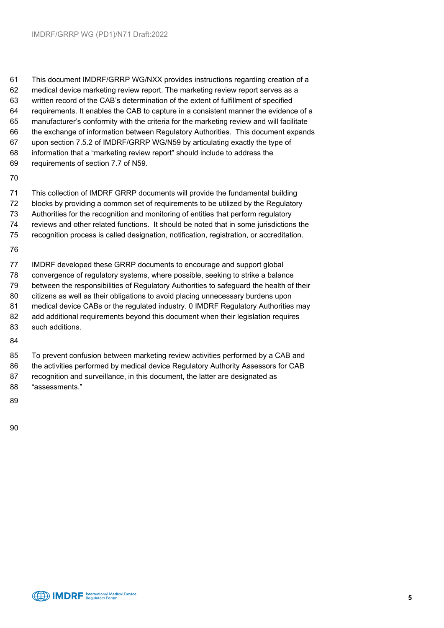This document IMDRF/GRRP WG/NXX provides instructions regarding creation of a medical device marketing review report. The marketing review report serves as a written record of the CAB's determination of the extent of fulfillment of specified requirements. It enables the CAB to capture in a consistent manner the evidence of a manufacturer's conformity with the criteria for the marketing review and will facilitate the exchange of information between Regulatory Authorities. This document expands upon section 7.5.2 of IMDRF/GRRP WG/N59 by articulating exactly the type of information that a "marketing review report" should include to address the requirements of section 7.7 of N59.

 This collection of IMDRF GRRP documents will provide the fundamental building blocks by providing a common set of requirements to be utilized by the Regulatory Authorities for the recognition and monitoring of entities that perform regulatory reviews and other related functions. It should be noted that in some jurisdictions the recognition process is called designation, notification, registration, or accreditation.

 IMDRF developed these GRRP documents to encourage and support global convergence of regulatory systems, where possible, seeking to strike a balance between the responsibilities of Regulatory Authorities to safeguard the health of their citizens as well as their obligations to avoid placing unnecessary burdens upon medical device CABs or the regulated industry. 0 IMDRF Regulatory Authorities may add additional requirements beyond this document when their legislation requires such additions.

 To prevent confusion between marketing review activities performed by a CAB and the activities performed by medical device Regulatory Authority Assessors for CAB recognition and surveillance, in this document, the latter are designated as "assessments."

- 
- 
-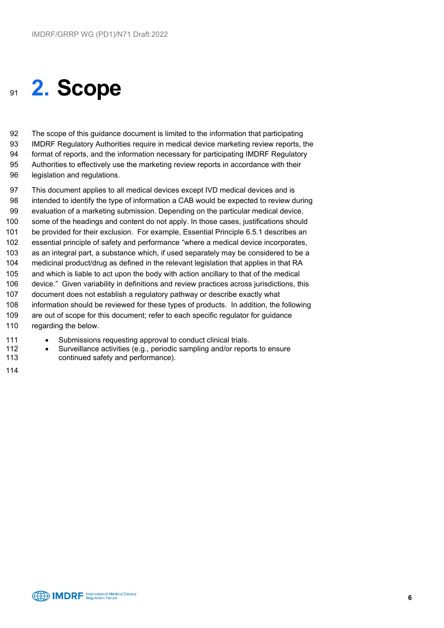### <span id="page-5-0"></span>**2. Scope**

 The scope of this guidance document is limited to the information that participating IMDRF Regulatory Authorities require in medical device marketing review reports, the format of reports, and the information necessary for participating IMDRF Regulatory Authorities to effectively use the marketing review reports in accordance with their

legislation and regulations.

 This document applies to all medical devices except IVD medical devices and is intended to identify the type of information a CAB would be expected to review during evaluation of a marketing submission. Depending on the particular medical device, some of the headings and content do not apply. In those cases, justifications should be provided for their exclusion. For example, Essential Principle 6.5.1 describes an essential principle of safety and performance "where a medical device incorporates, as an integral part, a substance which, if used separately may be considered to be a medicinal product/drug as defined in the relevant legislation that applies in that RA and which is liable to act upon the body with action ancillary to that of the medical device." Given variability in definitions and review practices across jurisdictions, this document does not establish a regulatory pathway or describe exactly what information should be reviewed for these types of products. In addition, the following are out of scope for this document; refer to each specific regulator for guidance 110 regarding the below.

- 111 Submissions requesting approval to conduct clinical trials.
- Surveillance activities (e.g., periodic sampling and/or reports to ensure continued safety and performance).
- 

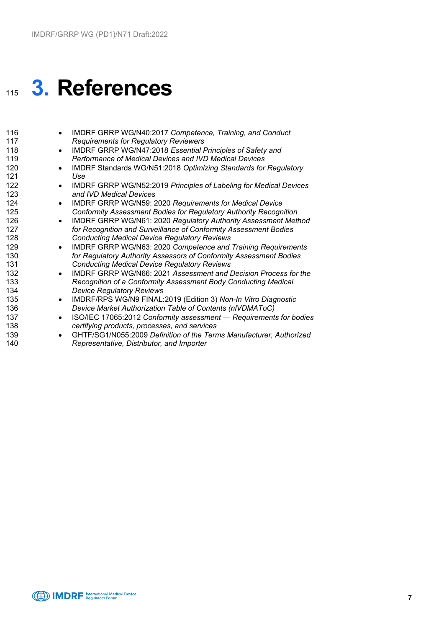# <span id="page-6-0"></span>**3. References**

| 116 | IMDRF GRRP WG/N40:2017 Competence, Training, and Conduct<br>$\bullet$            |
|-----|----------------------------------------------------------------------------------|
| 117 | <b>Requirements for Regulatory Reviewers</b>                                     |
| 118 | IMDRF GRRP WG/N47:2018 Essential Principles of Safety and<br>$\bullet$           |
| 119 | Performance of Medical Devices and IVD Medical Devices                           |
| 120 | IMDRF Standards WG/N51:2018 Optimizing Standards for Regulatory<br>$\bullet$     |
| 121 | Use                                                                              |
| 122 | IMDRF GRRP WG/N52:2019 Principles of Labeling for Medical Devices<br>$\bullet$   |
| 123 | and IVD Medical Devices                                                          |
| 124 | IMDRF GRRP WG/N59: 2020 Requirements for Medical Device<br>$\bullet$             |
| 125 | Conformity Assessment Bodies for Regulatory Authority Recognition                |
| 126 | IMDRF GRRP WG/N61: 2020 Regulatory Authority Assessment Method<br>$\bullet$      |
| 127 | for Recognition and Surveillance of Conformity Assessment Bodies                 |
| 128 | <b>Conducting Medical Device Regulatory Reviews</b>                              |
| 129 | IMDRF GRRP WG/N63: 2020 Competence and Training Requirements<br>$\bullet$        |
| 130 | for Regulatory Authority Assessors of Conformity Assessment Bodies               |
| 131 | <b>Conducting Medical Device Regulatory Reviews</b>                              |
| 132 | IMDRF GRRP WG/N66: 2021 Assessment and Decision Process for the                  |
| 133 | Recognition of a Conformity Assessment Body Conducting Medical                   |
| 134 | <b>Device Regulatory Reviews</b>                                                 |
| 135 | IMDRF/RPS WG/N9 FINAL:2019 (Edition 3) Non-In Vitro Diagnostic<br>$\bullet$      |
| 136 | Device Market Authorization Table of Contents (nIVDMAToC)                        |
| 137 | ISO/IEC 17065:2012 Conformity assessment - Requirements for bodies               |
| 138 | certifying products, processes, and services                                     |
| 139 | GHTF/SG1/N055:2009 Definition of the Terms Manufacturer, Authorized<br>$\bullet$ |
| 140 | Representative, Distributor, and Importer                                        |
|     |                                                                                  |
|     |                                                                                  |

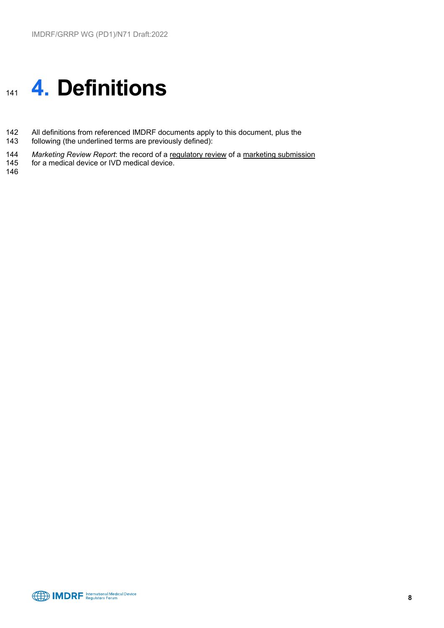# <span id="page-7-0"></span><sup>141</sup> **4. Definitions**

- 142 All definitions from referenced IMDRF documents apply to this document, plus the 143 following (the underlined terms are previously defined):
- following (the underlined terms are previously defined):
- 144 *Marketing Review Report*: the record of a regulatory review of a marketing submission<br>145 for a medical device or IVD medical device.
- for a medical device or IVD medical device.
- 146

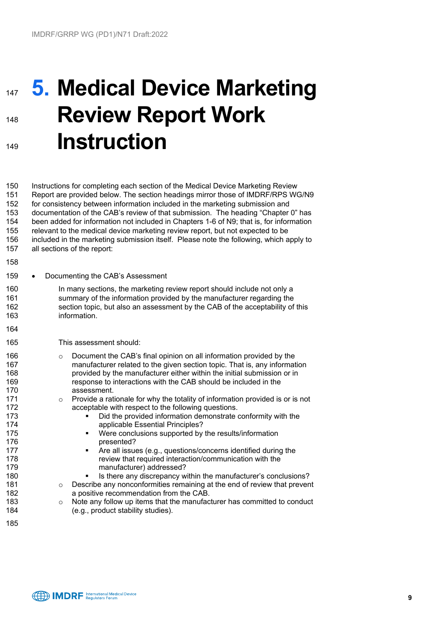# <span id="page-8-0"></span>**147 5. Medical Device Marketing Review Report Work Instruction**

 Instructions for completing each section of the Medical Device Marketing Review Report are provided below. The section headings mirror those of IMDRF/RPS WG/N9 for consistency between information included in the marketing submission and documentation of the CAB's review of that submission. The heading "Chapter 0" has been added for information not included in Chapters 1-6 of N9; that is, for information relevant to the medical device marketing review report, but not expected to be included in the marketing submission itself. Please note the following, which apply to all sections of the report:

- 
- 159 Documenting the CAB's Assessment
- 160 In many sections, the marketing review report should include not only a summary of the information provided by the manufacturer regarding the section topic, but also an assessment by the CAB of the acceptability of this information.
- 

This assessment should:

- **o Document the CAB's final opinion on all information provided by the computation on all information provided by the 167** manufacturer related to the given section topic. That is, any information 168 **provided by the manufacturer either within the initial submission or in**<br>169 **parameter interactions with the CAR should be included in the** response to interactions with the CAB should be included in the assessment.
- 171 o Provide a rationale for why the totality of information provided is or is not acceptable with respect to the following questions. acceptable with respect to the following questions.
- Did the provided information demonstrate conformity with the applicable Essential Principles?
- Were conclusions supported by the results/information **presented?**
- **Are all issues (e.g., questions/concerns identified during the**  review that required interaction/communication with the manufacturer) addressed?
- 180 **IS there any discrepancy within the manufacturer's conclusions?**<br>181 **ISO CONCILED A PERCIPED A PERCIPED A PERCIPED A PERCIPED A PERCIPED A PERCIPED A PERCIPED A PERCIPED A PE**
- 181 o Describe any nonconformities remaining at the end of review that prevent 182 a positive recommendation from the CAB.
- 183 o Note any follow up items that the manufacturer has committed to conduct 184 (e.g., product stability studies). (e.g., product stability studies).

**CED IMDRF** Regulators Forum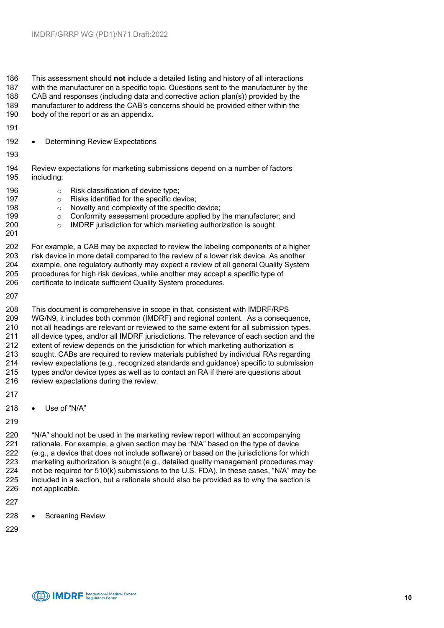This assessment should **not** include a detailed listing and history of all interactions with the manufacturer on a specific topic. Questions sent to the manufacturer by the CAB and responses (including data and corrective action plan(s)) provided by the manufacturer to address the CAB's concerns should be provided either within the body of the report or as an appendix.

192 • Determining Review Expectations

- 194 Review expectations for marketing submissions depend on a number of factors<br>195 including: including:
- 196 **o** Risk classification of device type;<br>197 **o** Risks identified for the specific de 197 **can be a constructed for the specific device;**<br>198 **o** Novelty and complexity of the specific
- 198 o Novelty and complexity of the specific device;<br>199 conformity assessment procedure applied by
- **o** Conformity assessment procedure applied by the manufacturer; and 200 **o** IMDRF jurisdiction for which marketing authorization is sought.
- $\circ$  IMDRF jurisdiction for which marketing authorization is sought.
- For example, a CAB may be expected to review the labeling components of a higher 203 risk device in more detail compared to the review of a lower risk device. As another<br>204 example, one regulatory authority may expect a review of all general Quality System example, one regulatory authority may expect a review of all general Quality System procedures for high risk devices, while another may accept a specific type of 206 certificate to indicate sufficient Quality System procedures.
- 

 This document is comprehensive in scope in that, consistent with IMDRF/RPS WG/N9, it includes both common (IMDRF) and regional content. As a consequence, 210 not all headings are relevant or reviewed to the same extent for all submission types,<br>211 all device types, and/or all IMDRF jurisdictions. The relevance of each section and the all device types, and/or all IMDRF jurisdictions. The relevance of each section and the extent of review depends on the jurisdiction for which marketing authorization is 213 sought. CABs are required to review materials published by individual RAs regarding<br>214 review expectations (e.g., recognized standards and quidance) specific to submission 214 review expectations (e.g., recognized standards and guidance) specific to submission<br>215 types and/or device types as well as to contact an RA if there are questions about types and/or device types as well as to contact an RA if there are questions about 216 review expectations during the review.

- 
- Use of "N/A"
- 

 "N/A" should not be used in the marketing review report without an accompanying rationale. For example, a given section may be "N/A" based on the type of device (e.g., a device that does not include software) or based on the jurisdictions for which marketing authorization is sought (e.g., detailed quality management procedures may not be required for 510(k) submissions to the U.S. FDA). In these cases, "N/A" may be included in a section, but a rationale should also be provided as to why the section is not applicable.

- 
- Screening Review
-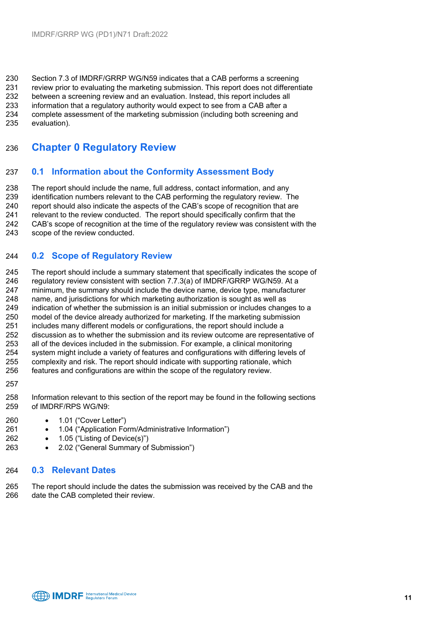230 Section 7.3 of IMDRF/GRRP WG/N59 indicates that a CAB performs a screening<br>231 review prior to evaluating the marketing submission. This report does not different review prior to evaluating the marketing submission. This report does not differentiate between a screening review and an evaluation. Instead, this report includes all information that a regulatory authority would expect to see from a CAB after a complete assessment of the marketing submission (including both screening and

evaluation).

### <span id="page-10-0"></span>**Chapter 0 Regulatory Review**

#### **0.1 Information about the Conformity Assessment Body**

 The report should include the name, full address, contact information, and any identification numbers relevant to the CAB performing the regulatory review. The report should also indicate the aspects of the CAB's scope of recognition that are relevant to the review conducted. The report should specifically confirm that the 242 CAB's scope of recognition at the time of the regulatory review was consistent with the 243 scope of the review conducted. scope of the review conducted.

#### **0.2 Scope of Regulatory Review**

245 The report should include a summary statement that specifically indicates the scope of requilatory review consistent with section 7.7.3(a) of IMDRF/GRRP WG/N59. At a 246 regulatory review consistent with section 7.7.3(a) of IMDRF/GRRP WG/N59. At a<br>247 minimum, the summary should include the device name, device type, manufacture 247 minimum, the summary should include the device name, device type, manufacturer<br>248 name. and iurisdictions for which marketing authorization is sought as well as name, and jurisdictions for which marketing authorization is sought as well as 249 indication of whether the submission is an initial submission or includes changes to a<br>250 model of the device already authorized for marketing. If the marketing submission model of the device already authorized for marketing. If the marketing submission includes many different models or configurations, the report should include a discussion as to whether the submission and its review outcome are representative of all of the devices included in the submission. For example, a clinical monitoring system might include a variety of features and configurations with differing levels of complexity and risk. The report should indicate with supporting rationale, which features and configurations are within the scope of the regulatory review.

 Information relevant to this section of the report may be found in the following sections of IMDRF/RPS WG/N9:

- 1.01 ("Cover Letter")
- 1.04 ("Application Form/Administrative Information")
- 1.05 ("Listing of Device(s)")
- 2.02 ("General Summary of Submission")

#### **0.3 Relevant Dates**

 The report should include the dates the submission was received by the CAB and the date the CAB completed their review.

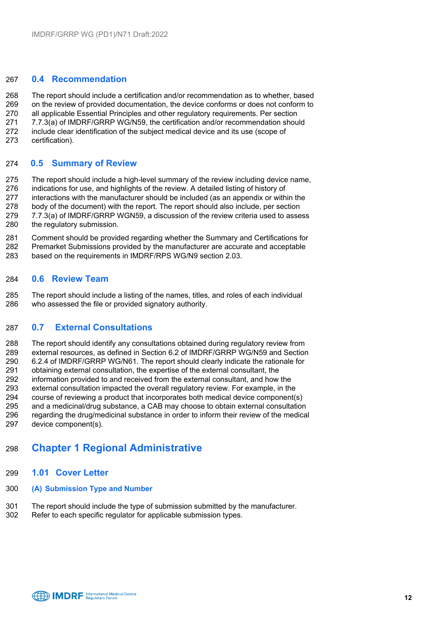#### **0.4 Recommendation**

 The report should include a certification and/or recommendation as to whether, based on the review of provided documentation, the device conforms or does not conform to all applicable Essential Principles and other regulatory requirements. Per section 7.7.3(a) of IMDRF/GRRP WG/N59, the certification and/or recommendation should include clear identification of the subject medical device and its use (scope of certification).

#### **0.5 Summary of Review**

 The report should include a high-level summary of the review including device name, indications for use, and highlights of the review. A detailed listing of history of interactions with the manufacturer should be included (as an appendix or within the body of the document) with the report. The report should also include, per section 279 7.7.3(a) of IMDRF/GRRP WGN59, a discussion of the review criteria used to assess<br>280 the regulatory submission. the regulatory submission.

 Comment should be provided regarding whether the Summary and Certifications for Premarket Submissions provided by the manufacturer are accurate and acceptable based on the requirements in IMDRF/RPS WG/N9 section 2.03.

#### **0.6 Review Team**

 The report should include a listing of the names, titles, and roles of each individual who assessed the file or provided signatory authority.

#### **0.7 External Consultations**

 The report should identify any consultations obtained during regulatory review from external resources, as defined in Section 6.2 of IMDRF/GRRP WG/N59 and Section 6.2.4 of IMDRF/GRRP WG/N61. The report should clearly indicate the rationale for 291 obtaining external consultation, the expertise of the external consultant, the<br>292 information provided to and received from the external consultant, and how 292 information provided to and received from the external consultant, and how the<br>293 external consultation impacted the overall regulatory review. For example, in the 293 external consultation impacted the overall regulatory review. For example, in the 294 course of reviewing a product that incorporates both medical device component( course of reviewing a product that incorporates both medical device component(s) and a medicinal/drug substance, a CAB may choose to obtain external consultation regarding the drug/medicinal substance in order to inform their review of the medical device component(s).

#### <span id="page-11-0"></span>**Chapter 1 Regional Administrative**

- **1.01 Cover Letter**
- **(A) Submission Type and Number**
- The report should include the type of submission submitted by the manufacturer.
- Refer to each specific regulator for applicable submission types.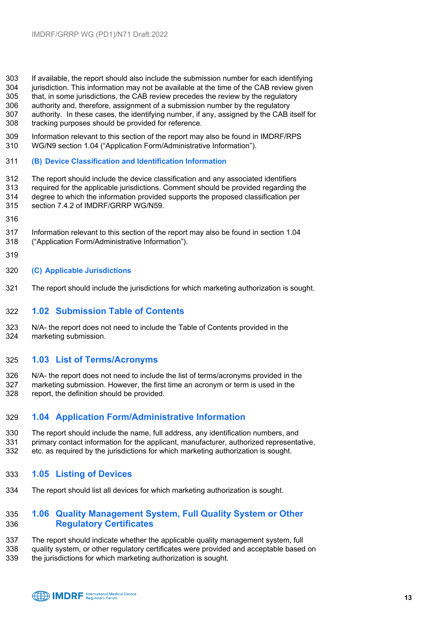- 303 If available, the report should also include the submission number for each identifying<br>304 iurisdiction. This information may not be available at the time of the CAB review given
- 304 jurisdiction. This information may not be available at the time of the CAB review given<br>305 that. in some iurisdictions, the CAB review precedes the review by the regulatory
- that, in some jurisdictions, the CAB review precedes the review by the regulatory authority and, therefore, assignment of a submission number by the regulatory
- authority. In these cases, the identifying number, if any, assigned by the CAB itself for
- tracking purposes should be provided for reference.
- Information relevant to this section of the report may also be found in IMDRF/RPS WG/N9 section 1.04 ("Application Form/Administrative Information").
- **(B) Device Classification and Identification Information**
- The report should include the device classification and any associated identifiers required for the applicable jurisdictions. Comment should be provided regarding the degree to which the information provided supports the proposed classification per section 7.4.2 of IMDRF/GRRP WG/N59.
- 
- Information relevant to this section of the report may also be found in section 1.04
- ("Application Form/Administrative Information").
- 
- **(C) Applicable Jurisdictions**
- The report should include the jurisdictions for which marketing authorization is sought.

#### **1.02 Submission Table of Contents**

 N/A- the report does not need to include the Table of Contents provided in the marketing submission.

#### **1.03 List of Terms/Acronyms**

 N/A- the report does not need to include the list of terms/acronyms provided in the marketing submission. However, the first time an acronym or term is used in the report, the definition should be provided.

#### **1.04 Application Form/Administrative Information**

- The report should include the name, full address, any identification numbers, and primary contact information for the applicant, manufacturer, authorized representative,
- etc. as required by the jurisdictions for which marketing authorization is sought.
- **1.05 Listing of Devices**
- The report should list all devices for which marketing authorization is sought.

#### **1.06 Quality Management System, Full Quality System or Other Regulatory Certificates**

- The report should indicate whether the applicable quality management system, full
- quality system, or other regulatory certificates were provided and acceptable based on
- the jurisdictions for which marketing authorization is sought.

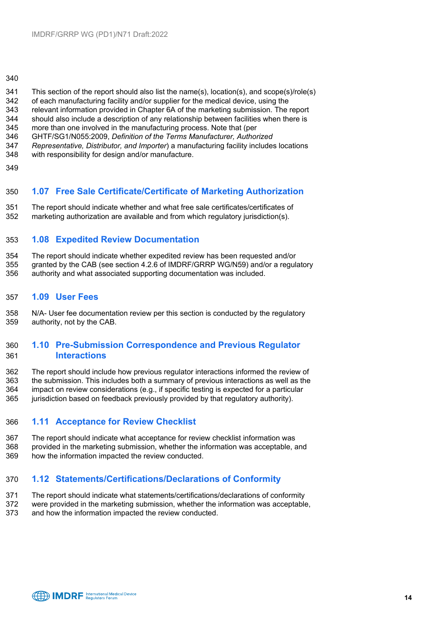#### 

- This section of the report should also list the name(s), location(s), and scope(s)/role(s)
- 342 of each manufacturing facility and/or supplier for the medical device, using the 343 relevant information provided in Chapter 6A of the marketing submission. The
- relevant information provided in Chapter 6A of the marketing submission. The report should also include a description of any relationship between facilities when there is
- more than one involved in the manufacturing process. Note that (per
- 
- GHTF/SG1/N055:2009, *Definition of the Terms Manufacturer, Authorized Representative, Distributor, and Importer*) a manufacturing facility includes locations
- with responsibility for design and/or manufacture.
- 

#### **1.07 Free Sale Certificate/Certificate of Marketing Authorization**

 The report should indicate whether and what free sale certificates/certificates of marketing authorization are available and from which regulatory jurisdiction(s).

#### **1.08 Expedited Review Documentation**

354 The report should indicate whether expedited review has been requested and/or<br>355 aranted by the CAB (see section 4.2.6 of IMDRF/GRRP WG/N59) and/or a regul granted by the CAB (see section 4.2.6 of IMDRF/GRRP WG/N59) and/or a regulatory authority and what associated supporting documentation was included.

#### **1.09 User Fees**

 N/A- User fee documentation review per this section is conducted by the regulatory authority, not by the CAB.

#### **1.10 Pre-Submission Correspondence and Previous Regulator Interactions**

 The report should include how previous regulator interactions informed the review of the submission. This includes both a summary of previous interactions as well as the impact on review considerations (e.g., if specific testing is expected for a particular jurisdiction based on feedback previously provided by that regulatory authority).

#### **1.11 Acceptance for Review Checklist**

 The report should indicate what acceptance for review checklist information was provided in the marketing submission, whether the information was acceptable, and how the information impacted the review conducted.

#### **1.12 Statements/Certifications/Declarations of Conformity**

- The report should indicate what statements/certifications/declarations of conformity
- were provided in the marketing submission, whether the information was acceptable, and how the information impacted the review conducted.

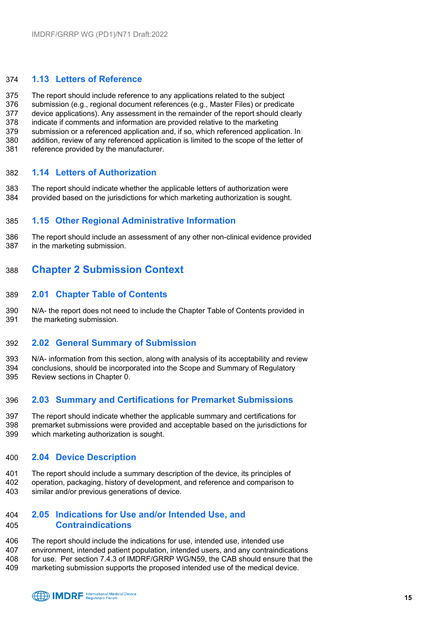#### **1.13 Letters of Reference**

 The report should include reference to any applications related to the subject submission (e.g., regional document references (e.g., Master Files) or predicate device applications). Any assessment in the remainder of the report should clearly indicate if comments and information are provided relative to the marketing submission or a referenced application and, if so, which referenced application. In addition, review of any referenced application is limited to the scope of the letter of reference provided by the manufacturer.

#### **1.14 Letters of Authorization**

 The report should indicate whether the applicable letters of authorization were provided based on the jurisdictions for which marketing authorization is sought.

#### **1.15 Other Regional Administrative Information**

 The report should include an assessment of any other non-clinical evidence provided in the marketing submission.

#### <span id="page-14-0"></span>**Chapter 2 Submission Context**

#### **2.01 Chapter Table of Contents**

 N/A- the report does not need to include the Chapter Table of Contents provided in the marketing submission.

#### **2.02 General Summary of Submission**

 N/A- information from this section, along with analysis of its acceptability and review conclusions, should be incorporated into the Scope and Summary of Regulatory Review sections in Chapter 0.

#### **2.03 Summary and Certifications for Premarket Submissions**

 The report should indicate whether the applicable summary and certifications for premarket submissions were provided and acceptable based on the jurisdictions for which marketing authorization is sought.

#### **2.04 Device Description**

 The report should include a summary description of the device, its principles of operation, packaging, history of development, and reference and comparison to similar and/or previous generations of device.

#### **2.05 Indications for Use and/or Intended Use, and Contraindications**

 The report should include the indications for use, intended use, intended use environment, intended patient population, intended users, and any contraindications for use. Per section 7.4.3 of IMDRF/GRRP WG/N59, the CAB should ensure that the marketing submission supports the proposed intended use of the medical device.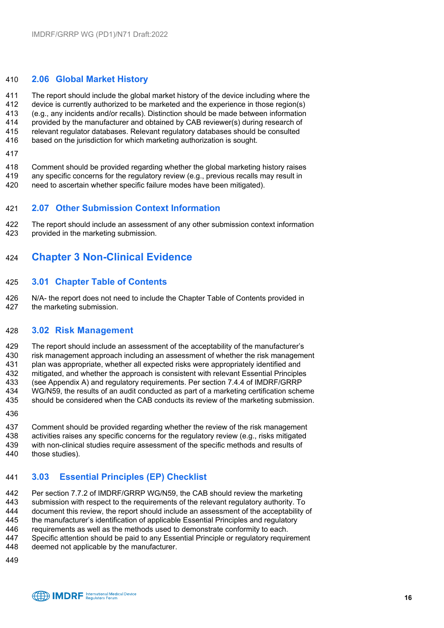#### **2.06 Global Market History**

 The report should include the global market history of the device including where the device is currently authorized to be marketed and the experience in those region(s) (e.g., any incidents and/or recalls). Distinction should be made between information provided by the manufacturer and obtained by CAB reviewer(s) during research of relevant regulator databases. Relevant regulatory databases should be consulted

- based on the jurisdiction for which marketing authorization is sought.
- 

Comment should be provided regarding whether the global marketing history raises

- any specific concerns for the regulatory review (e.g., previous recalls may result in
- need to ascertain whether specific failure modes have been mitigated).

#### **2.07 Other Submission Context Information**

422 The report should include an assessment of any other submission context information<br>423 Urovided in the marketing submission. provided in the marketing submission.

### <span id="page-15-0"></span>**Chapter 3 Non-Clinical Evidence**

#### **3.01 Chapter Table of Contents**

 N/A- the report does not need to include the Chapter Table of Contents provided in the marketing submission.

#### **3.02 Risk Management**

429 The report should include an assessment of the acceptability of the manufacturer's<br>430 Fisk management approach including an assessment of whether the risk managem risk management approach including an assessment of whether the risk management

plan was appropriate, whether all expected risks were appropriately identified and

mitigated, and whether the approach is consistent with relevant Essential Principles

(see Appendix A) and regulatory requirements. Per section 7.4.4 of IMDRF/GRRP

WG/N59, the results of an audit conducted as part of a marketing certification scheme

should be considered when the CAB conducts its review of the marketing submission.

437 Comment should be provided regarding whether the review of the risk management<br>438 activities raises any specific concerns for the regulatory review (e.g., risks mitigated 438 activities raises any specific concerns for the regulatory review (e.g., risks mitigated 439 with non-clinical studies require assessment of the specific methods and results of with non-clinical studies require assessment of the specific methods and results of

those studies).

### **3.03 Essential Principles (EP) Checklist**

 Per section 7.7.2 of IMDRF/GRRP WG/N59, the CAB should review the marketing submission with respect to the requirements of the relevant regulatory authority. To document this review, the report should include an assessment of the acceptability of the manufacturer's identification of applicable Essential Principles and regulatory

requirements as well as the methods used to demonstrate conformity to each.

Specific attention should be paid to any Essential Principle or regulatory requirement

- deemed not applicable by the manufacturer.
- 

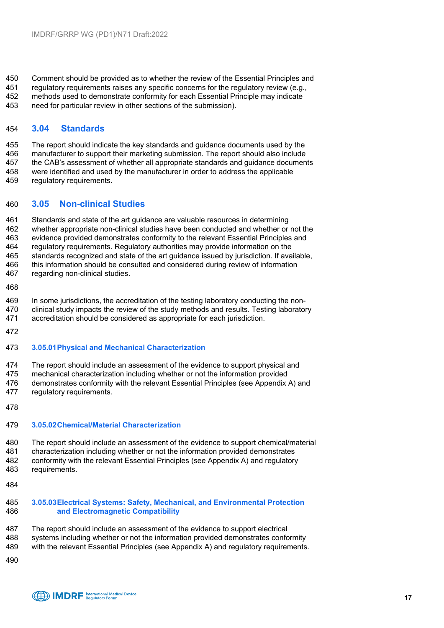Comment should be provided as to whether the review of the Essential Principles and

 regulatory requirements raises any specific concerns for the regulatory review (e.g., methods used to demonstrate conformity for each Essential Principle may indicate

need for particular review in other sections of the submission).

#### **3.04 Standards**

 The report should indicate the key standards and guidance documents used by the manufacturer to support their marketing submission. The report should also include the CAB's assessment of whether all appropriate standards and guidance documents were identified and used by the manufacturer in order to address the applicable regulatory requirements.

#### **3.05 Non-clinical Studies**

 Standards and state of the art guidance are valuable resources in determining whether appropriate non-clinical studies have been conducted and whether or not the evidence provided demonstrates conformity to the relevant Essential Principles and regulatory requirements. Regulatory authorities may provide information on the 465 standards recognized and state of the art guidance issued by jurisdiction. If available,<br>466 this information should be consulted and considered during review of information this information should be consulted and considered during review of information regarding non-clinical studies.

In some jurisdictions, the accreditation of the testing laboratory conducting the non-

 clinical study impacts the review of the study methods and results. Testing laboratory accreditation should be considered as appropriate for each jurisdiction.

#### **3.05.01Physical and Mechanical Characterization**

 The report should include an assessment of the evidence to support physical and mechanical characterization including whether or not the information provided

 demonstrates conformity with the relevant Essential Principles (see Appendix A) and regulatory requirements.

#### **3.05.02Chemical/Material Characterization**

 The report should include an assessment of the evidence to support chemical/material characterization including whether or not the information provided demonstrates conformity with the relevant Essential Principles (see Appendix A) and regulatory requirements.

#### **3.05.03Electrical Systems: Safety, Mechanical, and Environmental Protection and Electromagnetic Compatibility**

- The report should include an assessment of the evidence to support electrical
- systems including whether or not the information provided demonstrates conformity
- with the relevant Essential Principles (see Appendix A) and regulatory requirements.
-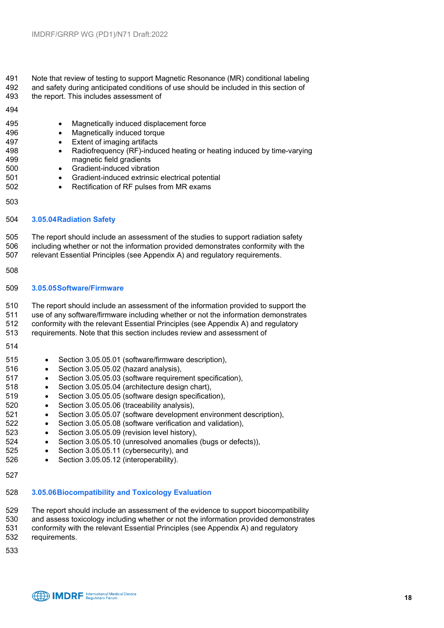#### 491 Note that review of testing to support Magnetic Resonance (MR) conditional labeling<br>492 and safety during anticipated conditions of use should be included in this section of and safety during anticipated conditions of use should be included in this section of

the report. This includes assessment of

#### 

- Magnetically induced displacement force • Magnetically induced torque • Extent of imaging artifacts • Radiofrequency (RF)-induced heating or heating induced by time-varying magnetic field gradients • Gradient-induced vibration • Gradient-induced extrinsic electrical potential • Rectification of RF pulses from MR exams **3.05.04Radiation Safety** The report should include an assessment of the studies to support radiation safety including whether or not the information provided demonstrates conformity with the relevant Essential Principles (see Appendix A) and regulatory requirements. **3.05.05Software/Firmware**
	- The report should include an assessment of the information provided to support the use of any software/firmware including whether or not the information demonstrates conformity with the relevant Essential Principles (see Appendix A) and regulatory
	- requirements. Note that this section includes review and assessment of
	-
	- Section 3.05.05.01 (software/firmware description),
	- Section 3.05.05.02 (hazard analysis),
	- Section 3.05.05.03 (software requirement specification),
	- Section 3.05.05.04 (architecture design chart),
	- Section 3.05.05.05 (software design specification),
	- Section 3.05.05.06 (traceability analysis),
	- Section 3.05.05.07 (software development environment description),
	- Section 3.05.05.08 (software verification and validation),
	- Section 3.05.05.09 (revision level history),
	- Section 3.05.05.10 (unresolved anomalies (bugs or defects)),
	- Section 3.05.05.11 (cybersecurity), and
	- Section 3.05.05.12 (interoperability).
	-

#### **3.05.06Biocompatibility and Toxicology Evaluation**

- The report should include an assessment of the evidence to support biocompatibility
- and assess toxicology including whether or not the information provided demonstrates conformity with the relevant Essential Principles (see Appendix A) and regulatory
- requirements.
- 

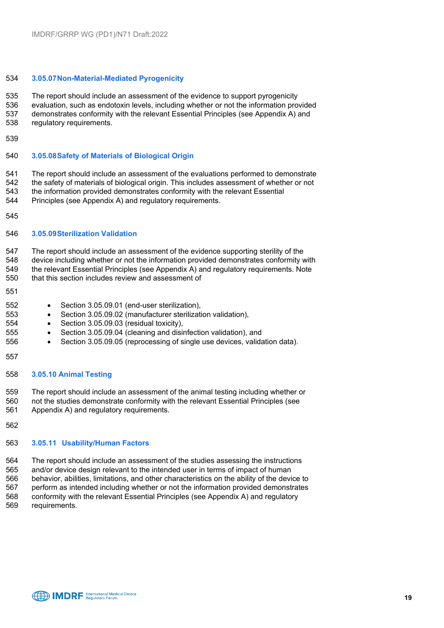#### **3.05.07Non-Material-Mediated Pyrogenicity**

 The report should include an assessment of the evidence to support pyrogenicity evaluation, such as endotoxin levels, including whether or not the information provided demonstrates conformity with the relevant Essential Principles (see Appendix A) and regulatory requirements.

#### **3.05.08Safety of Materials of Biological Origin**

 The report should include an assessment of the evaluations performed to demonstrate 542 the safety of materials of biological origin. This includes assessment of whether or not<br>543 the information provided demonstrates conformity with the relevant Essential

the information provided demonstrates conformity with the relevant Essential

Principles (see Appendix A) and regulatory requirements.

#### **3.05.09Sterilization Validation**

 The report should include an assessment of the evidence supporting sterility of the device including whether or not the information provided demonstrates conformity with the relevant Essential Principles (see Appendix A) and regulatory requirements. Note

- that this section includes review and assessment of
- 
- Section 3.05.09.01 (end-user sterilization),
- Section 3.05.09.02 (manufacturer sterilization validation),
- Section 3.05.09.03 (residual toxicity),
- Section 3.05.09.04 (cleaning and disinfection validation), and
- Section 3.05.09.05 (reprocessing of single use devices, validation data).
- 

#### **3.05.10 Animal Testing**

The report should include an assessment of the animal testing including whether or

- not the studies demonstrate conformity with the relevant Essential Principles (see Appendix A) and regulatory requirements.
- 

#### **3.05.11 Usability/Human Factors**

 The report should include an assessment of the studies assessing the instructions and/or device design relevant to the intended user in terms of impact of human behavior, abilities, limitations, and other characteristics on the ability of the device to perform as intended including whether or not the information provided demonstrates conformity with the relevant Essential Principles (see Appendix A) and regulatory requirements.

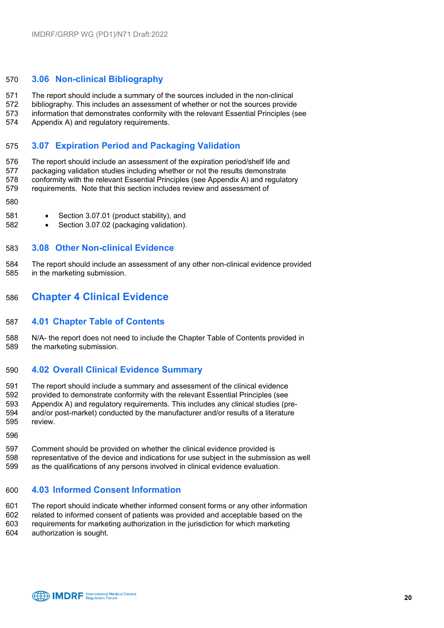#### **3.06 Non-clinical Bibliography**

The report should include a summary of the sources included in the non-clinical

bibliography. This includes an assessment of whether or not the sources provide

 information that demonstrates conformity with the relevant Essential Principles (see Appendix A) and regulatory requirements.

#### **3.07 Expiration Period and Packaging Validation**

 The report should include an assessment of the expiration period/shelf life and packaging validation studies including whether or not the results demonstrate conformity with the relevant Essential Principles (see Appendix A) and regulatory requirements. Note that this section includes review and assessment of

- 
- Section 3.07.01 (product stability), and
- Section 3.07.02 (packaging validation).

#### **3.08 Other Non-clinical Evidence**

 The report should include an assessment of any other non-clinical evidence provided in the marketing submission.

#### <span id="page-19-0"></span>**Chapter 4 Clinical Evidence**

#### **4.01 Chapter Table of Contents**

 N/A- the report does not need to include the Chapter Table of Contents provided in the marketing submission.

#### **4.02 Overall Clinical Evidence Summary**

 The report should include a summary and assessment of the clinical evidence provided to demonstrate conformity with the relevant Essential Principles (see Appendix A) and regulatory requirements. This includes any clinical studies (pre-594 and/or post-market) conducted by the manufacturer and/or results of a literature<br>595 review.

review

- Comment should be provided on whether the clinical evidence provided is
- representative of the device and indications for use subject in the submission as well as the qualifications of any persons involved in clinical evidence evaluation.

#### **4.03 Informed Consent Information**

 The report should indicate whether informed consent forms or any other information related to informed consent of patients was provided and acceptable based on the requirements for marketing authorization in the jurisdiction for which marketing authorization is sought.

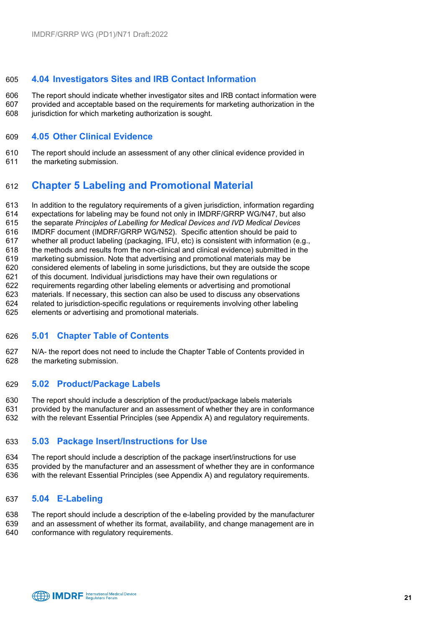#### **4.04 Investigators Sites and IRB Contact Information**

 The report should indicate whether investigator sites and IRB contact information were provided and acceptable based on the requirements for marketing authorization in the jurisdiction for which marketing authorization is sought.

#### **4.05 Other Clinical Evidence**

The report should include an assessment of any other clinical evidence provided in

the marketing submission.

### <span id="page-20-0"></span>**Chapter 5 Labeling and Promotional Material**

In addition to the regulatory requirements of a given jurisdiction, information regarding

- expectations for labeling may be found not only in IMDRF/GRRP WG/N47, but also
- the separate *Principles of Labelling for Medical Devices and IVD Medical Devices*
- IMDRF document (IMDRF/GRRP WG/N52). Specific attention should be paid to
- whether all product labeling (packaging, IFU, etc) is consistent with information (e.g.,
- 618 the methods and results from the non-clinical and clinical evidence) submitted in the 619 marketing submission. Note that advertising and promotional materials may be
- marketing submission. Note that advertising and promotional materials may be considered elements of labeling in some jurisdictions, but they are outside the scope
- of this document. Individual jurisdictions may have their own regulations or
- requirements regarding other labeling elements or advertising and promotional
- materials. If necessary, this section can also be used to discuss any observations
- related to jurisdiction-specific regulations or requirements involving other labeling
- elements or advertising and promotional materials.

#### **5.01 Chapter Table of Contents**

 N/A- the report does not need to include the Chapter Table of Contents provided in the marketing submission.

#### **5.02 Product/Package Labels**

- The report should include a description of the product/package labels materials
- provided by the manufacturer and an assessment of whether they are in conformance
- with the relevant Essential Principles (see Appendix A) and regulatory requirements.

#### **5.03 Package Insert/Instructions for Use**

- The report should include a description of the package insert/instructions for use
- provided by the manufacturer and an assessment of whether they are in conformance with the relevant Essential Principles (see Appendix A) and regulatory requirements.
- 

#### **5.04 E-Labeling**

 The report should include a description of the e-labeling provided by the manufacturer and an assessment of whether its format, availability, and change management are in conformance with regulatory requirements.

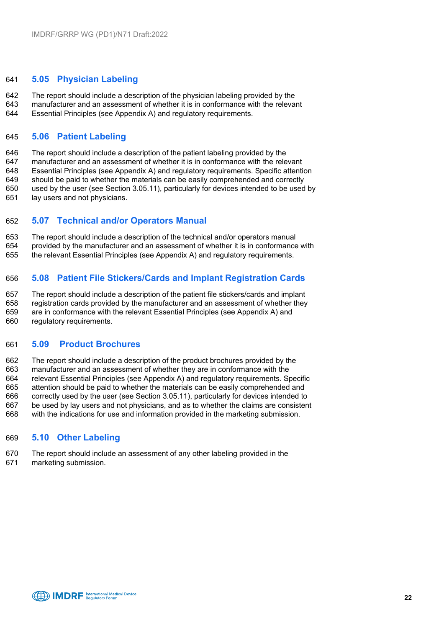#### **5.05 Physician Labeling**

 The report should include a description of the physician labeling provided by the manufacturer and an assessment of whether it is in conformance with the relevant

Essential Principles (see Appendix A) and regulatory requirements.

#### **5.06 Patient Labeling**

 The report should include a description of the patient labeling provided by the manufacturer and an assessment of whether it is in conformance with the relevant Essential Principles (see Appendix A) and regulatory requirements. Specific attention should be paid to whether the materials can be easily comprehended and correctly used by the user (see Section 3.05.11), particularly for devices intended to be used by lay users and not physicians.

#### **5.07 Technical and/or Operators Manual**

 The report should include a description of the technical and/or operators manual provided by the manufacturer and an assessment of whether it is in conformance with the relevant Essential Principles (see Appendix A) and regulatory requirements.

#### **5.08 Patient File Stickers/Cards and Implant Registration Cards**

 The report should include a description of the patient file stickers/cards and implant registration cards provided by the manufacturer and an assessment of whether they are in conformance with the relevant Essential Principles (see Appendix A) and regulatory requirements.

#### **5.09 Product Brochures**

 The report should include a description of the product brochures provided by the manufacturer and an assessment of whether they are in conformance with the relevant Essential Principles (see Appendix A) and regulatory requirements. Specific attention should be paid to whether the materials can be easily comprehended and correctly used by the user (see Section 3.05.11), particularly for devices intended to be used by lay users and not physicians, and as to whether the claims are consistent with the indications for use and information provided in the marketing submission.

#### **5.10 Other Labeling**

- The report should include an assessment of any other labeling provided in the
- marketing submission.

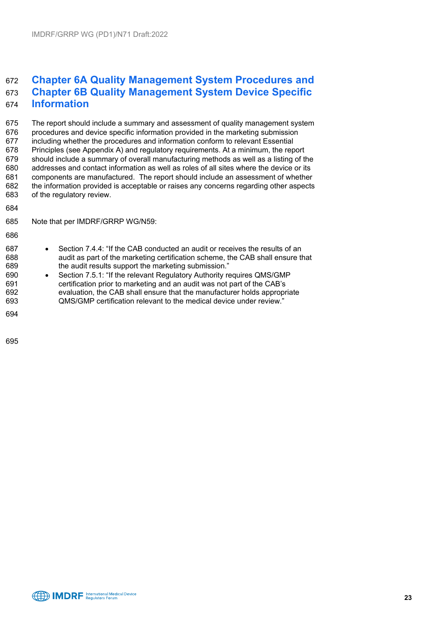### <span id="page-22-0"></span> **Chapter 6A Quality Management System Procedures and Chapter 6B Quality Management System Device Specific Information**

 The report should include a summary and assessment of quality management system procedures and device specific information provided in the marketing submission including whether the procedures and information conform to relevant Essential Principles (see Appendix A) and regulatory requirements. At a minimum, the report should include a summary of overall manufacturing methods as well as a listing of the 680 addresses and contact information as well as roles of all sites where the device or its<br>681 components are manufactured. The report should include an assessment of whether components are manufactured. The report should include an assessment of whether the information provided is acceptable or raises any concerns regarding other aspects of the regulatory review.

- 
- Note that per IMDRF/GRRP WG/N59:
- 
- 687 Section 7.4.4: "If the CAB conducted an audit or receives the results of an<br>688  **• • audit as part of the marketing certification scheme**, the CAB shall ensure the 688 audit as part of the marketing certification scheme, the CAB shall ensure that 689 the audit results support the marketing submission."
- 690 Section 7.5.1: "If the relevant Regulatory Authority requires QMS/GMP<br>691 certification prior to marketing and an audit was not part of the CAB's certification prior to marketing and an audit was not part of the CAB's evaluation, the CAB shall ensure that the manufacturer holds appropriate QMS/GMP certification relevant to the medical device under review."
- 

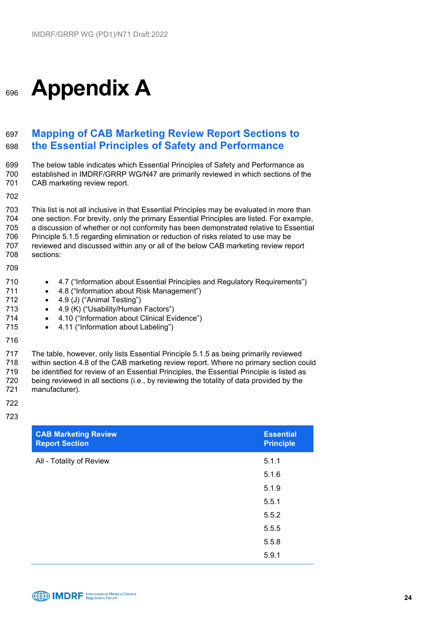# <span id="page-23-0"></span><sup>696</sup> **Appendix A**

### <span id="page-23-1"></span>697 **Mapping of CAB Marketing Review Report Sections to**  698 **the Essential Principles of Safety and Performance**

699 The below table indicates which Essential Principles of Safety and Performance as 700 established in IMDRF/GRRP WG/N47 are primarily reviewed in which sections of the 701 CAB marketing review report. CAB marketing review report. 702 703 This list is not all inclusive in that Essential Principles may be evaluated in more than<br>704 one section. For brevity, only the primary Essential Principles are listed. For example.

 one section. For brevity, only the primary Essential Principles are listed. For example, a discussion of whether or not conformity has been demonstrated relative to Essential Principle 5.1.5 regarding elimination or reduction of risks related to use may be reviewed and discussed within any or all of the below CAB marketing review report sections:

- 709
- 710 4.7 ("Information about Essential Principles and Regulatory Requirements")
- 711 4.8 ("Information about Risk Management")
- 712 4.9 (J) ("Animal Testing")
- 713 4.9 (K) ("Usability/Human Factors")
- 714 4.10 ("Information about Clinical Evidence")
- 715 4.11 ("Information about Labeling")
- 716

717 The table, however, only lists Essential Principle 5.1.5 as being primarily reviewed 718 within section 4.8 of the CAB marketing review report. Where no primary section could<br>719 be identified for review of an Essential Principles, the Essential Principle is listed as 719 be identified for review of an Essential Principles, the Essential Principle is listed as<br>720 being reviewed in all sections (i.e., by reviewing the totality of data provided by the being reviewed in all sections (i.e., by reviewing the totality of data provided by the 721 manufacturer).

- 722
- 723

| <b>CAB Marketing Review</b><br><b>Report Section</b> | <b>Essential</b><br><b>Principle</b> |
|------------------------------------------------------|--------------------------------------|
| All - Totality of Review                             | 5.1.1                                |
|                                                      | 5.1.6                                |
|                                                      | 5.1.9                                |
|                                                      | 5.5.1                                |
|                                                      | 5.5.2                                |
|                                                      | 5.5.5                                |
|                                                      | 5.5.8                                |
|                                                      | 5.9.1                                |

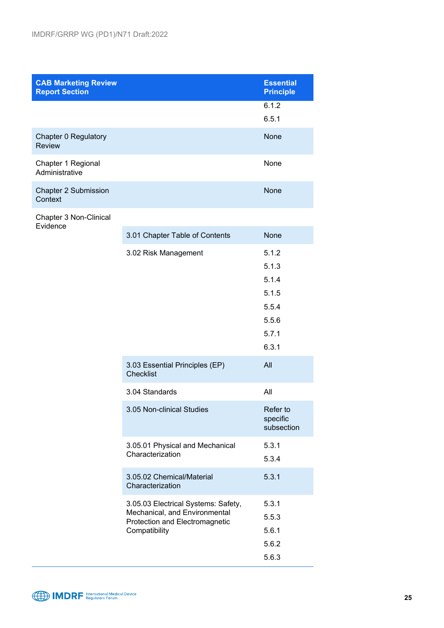| <b>CAB Marketing Review</b><br><b>Report Section</b> |                                                                                                                           | <b>Essential</b><br><b>Principle</b>                                                                                     |
|------------------------------------------------------|---------------------------------------------------------------------------------------------------------------------------|--------------------------------------------------------------------------------------------------------------------------|
|                                                      |                                                                                                                           | 6.1.2<br>6.5.1                                                                                                           |
| Chapter 0 Regulatory<br><b>Review</b>                |                                                                                                                           | None                                                                                                                     |
| Chapter 1 Regional<br>Administrative                 |                                                                                                                           | None                                                                                                                     |
| <b>Chapter 2 Submission</b><br>Context               |                                                                                                                           | <b>None</b>                                                                                                              |
| Chapter 3 Non-Clinical<br>Evidence                   |                                                                                                                           |                                                                                                                          |
|                                                      | 3.01 Chapter Table of Contents                                                                                            | None                                                                                                                     |
|                                                      | 3.02 Risk Management<br>3.03 Essential Principles (EP)<br><b>Checklist</b><br>3.04 Standards<br>3.05 Non-clinical Studies | 5.1.2<br>5.1.3<br>5.1.4<br>5.1.5<br>5.5.4<br>5.5.6<br>5.7.1<br>6.3.1<br>All<br>All<br>Refer to<br>specific<br>subsection |
|                                                      | 3.05.01 Physical and Mechanical<br>Characterization<br>3.05.02 Chemical/Material                                          | 5.3.1<br>5.3.4<br>5.3.1                                                                                                  |
|                                                      | Characterization                                                                                                          |                                                                                                                          |
|                                                      | 3.05.03 Electrical Systems: Safety,<br>Mechanical, and Environmental<br>Protection and Electromagnetic<br>Compatibility   | 5.3.1<br>5.5.3<br>5.6.1<br>5.6.2                                                                                         |
|                                                      |                                                                                                                           | 5.6.3                                                                                                                    |

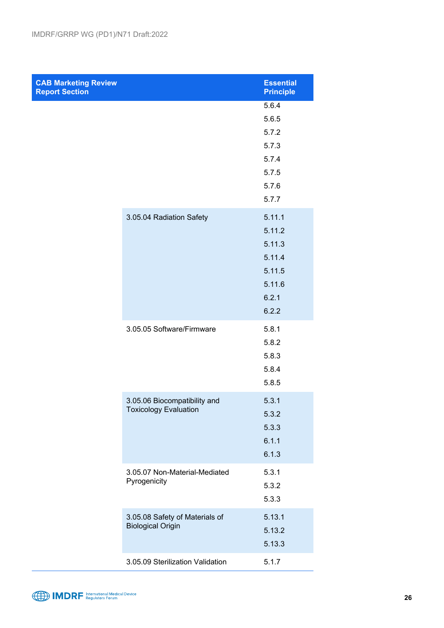| <b>CAB Marketing Review</b><br><b>Report Section</b> |                                                              | <b>Essential</b><br><b>Principle</b>                                       |
|------------------------------------------------------|--------------------------------------------------------------|----------------------------------------------------------------------------|
|                                                      |                                                              | 5.6.4<br>5.6.5<br>5.7.2<br>5.7.3<br>5.7.4<br>5.7.5<br>5.7.6<br>5.7.7       |
|                                                      | 3.05.04 Radiation Safety                                     | 5.11.1<br>5.11.2<br>5.11.3<br>5.11.4<br>5.11.5<br>5.11.6<br>6.2.1<br>6.2.2 |
|                                                      | 3.05.05 Software/Firmware                                    | 5.8.1<br>5.8.2<br>5.8.3<br>5.8.4<br>5.8.5                                  |
|                                                      | 3.05.06 Biocompatibility and<br><b>Toxicology Evaluation</b> | 5.3.1<br>5.3.2<br>5.3.3<br>6.1.1<br>6.1.3                                  |
|                                                      | 3.05.07 Non-Material-Mediated<br>Pyrogenicity                | 5.3.1<br>5.3.2<br>5.3.3                                                    |
|                                                      | 3.05.08 Safety of Materials of<br><b>Biological Origin</b>   | 5.13.1<br>5.13.2<br>5.13.3                                                 |
|                                                      | 3.05.09 Sterilization Validation                             | 5.1.7                                                                      |

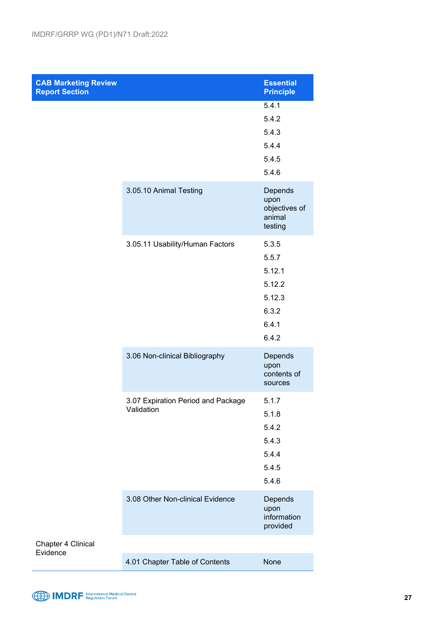| <b>CAB Marketing Review</b><br><b>Report Section</b> |                                                  | <b>Essential</b><br><b>Principle</b>                                    |
|------------------------------------------------------|--------------------------------------------------|-------------------------------------------------------------------------|
|                                                      |                                                  | 5.4.1<br>5.4.2<br>5.4.3<br>5.4.4<br>5.4.5<br>5.4.6                      |
|                                                      | 3.05.10 Animal Testing                           | Depends<br>upon<br>objectives of<br>animal<br>testing                   |
|                                                      | 3.05.11 Usability/Human Factors                  | 5.3.5<br>5.5.7<br>5.12.1<br>5.12.2<br>5.12.3<br>6.3.2<br>6.4.1<br>6.4.2 |
|                                                      | 3.06 Non-clinical Bibliography                   | Depends<br>upon<br>contents of<br>sources                               |
|                                                      | 3.07 Expiration Period and Package<br>Validation | 5.1.7<br>5.1.8<br>5.4.2<br>5.4.3<br>5.4.4<br>5.4.5<br>5.4.6             |
|                                                      | 3.08 Other Non-clinical Evidence                 | Depends<br>upon<br>information<br>provided                              |
| Chapter 4 Clinical<br>Evidence                       | 4.01 Chapter Table of Contents                   | <b>None</b>                                                             |

4.01 Chapter Table of Contents None

MDRF International Medical Device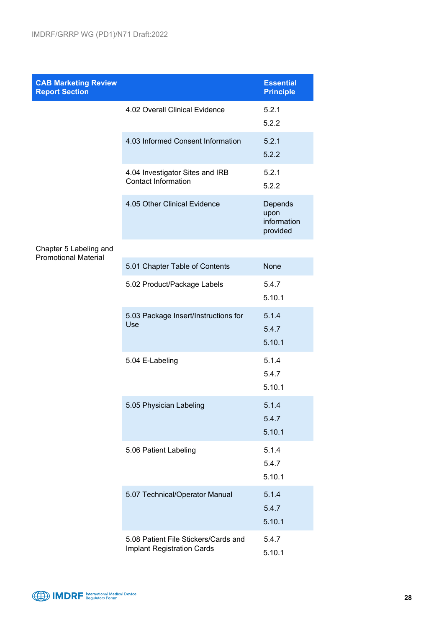| <b>CAB Marketing Review</b><br><b>Report Section</b>  |                                                                    | <b>Essential</b><br><b>Principle</b>       |
|-------------------------------------------------------|--------------------------------------------------------------------|--------------------------------------------|
|                                                       | 4.02 Overall Clinical Evidence                                     | 5.2.1<br>5.2.2                             |
|                                                       | 4.03 Informed Consent Information                                  | 5.2.1<br>5.2.2                             |
|                                                       | 4.04 Investigator Sites and IRB<br><b>Contact Information</b>      | 5.2.1<br>5.2.2                             |
|                                                       | 4.05 Other Clinical Evidence                                       | Depends<br>upon<br>information<br>provided |
| Chapter 5 Labeling and<br><b>Promotional Material</b> |                                                                    |                                            |
|                                                       | 5.01 Chapter Table of Contents                                     | <b>None</b>                                |
|                                                       | 5.02 Product/Package Labels                                        | 5.4.7<br>5.10.1                            |
|                                                       | 5.03 Package Insert/Instructions for<br>Use                        | 5.1.4<br>5.4.7<br>5.10.1                   |
|                                                       | 5.04 E-Labeling                                                    | 5.1.4<br>5.4.7<br>5.10.1                   |
|                                                       | 5.05 Physician Labeling                                            | 5.1.4<br>5.4.7<br>5.10.1                   |
|                                                       | 5.06 Patient Labeling                                              | 5.1.4<br>5.4.7<br>5.10.1                   |
|                                                       | 5.07 Technical/Operator Manual                                     | 5.1.4<br>5.4.7<br>5.10.1                   |
|                                                       | 5.08 Patient File Stickers/Cards and<br>Implant Registration Cards | 5.4.7<br>E 101                             |



5.10.1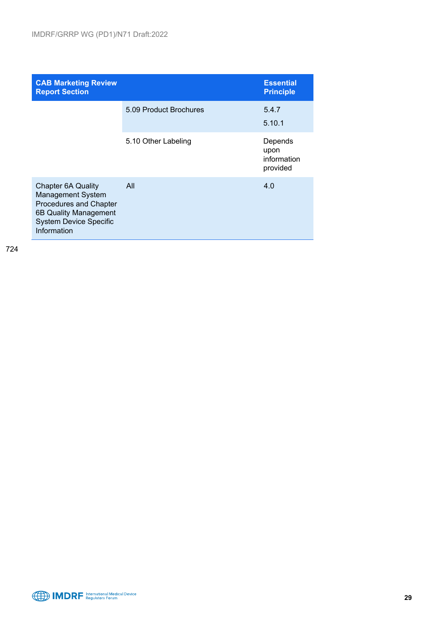| <b>CAB Marketing Review</b><br><b>Report Section</b>                                                                                                     |                        | <b>Essential</b><br><b>Principle</b>       |
|----------------------------------------------------------------------------------------------------------------------------------------------------------|------------------------|--------------------------------------------|
|                                                                                                                                                          | 5.09 Product Brochures | 5.4.7<br>5.10.1                            |
|                                                                                                                                                          | 5.10 Other Labeling    | Depends<br>upon<br>information<br>provided |
| <b>Chapter 6A Quality</b><br><b>Management System</b><br>Procedures and Chapter<br>6B Quality Management<br><b>System Device Specific</b><br>Information | All                    | 4.0                                        |